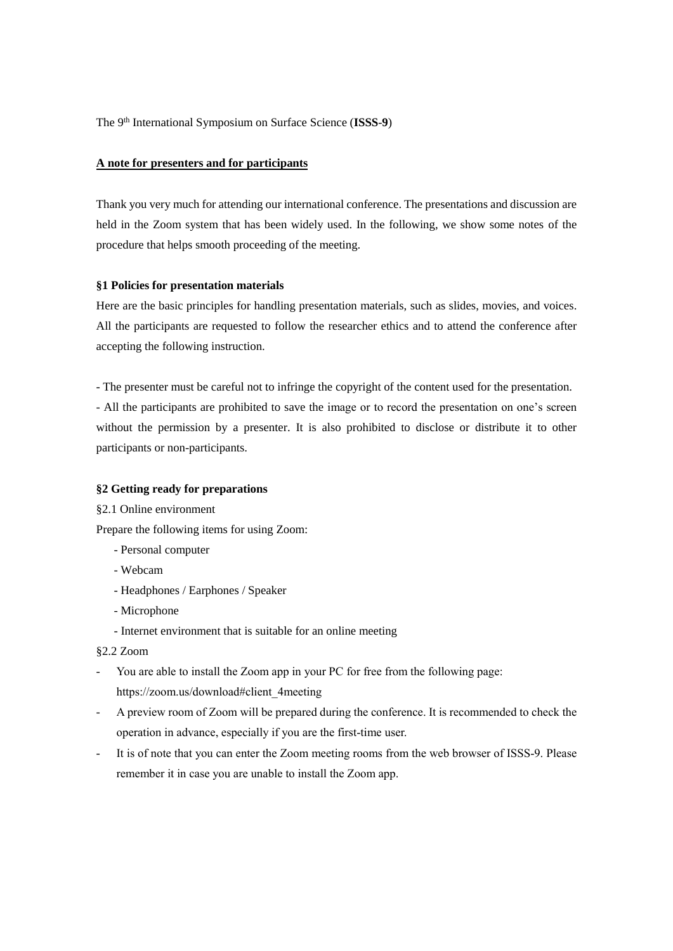The 9th International Symposium on Surface Science (**ISSS**-**9**)

#### **A note for presenters and for participants**

Thank you very much for attending our international conference. The presentations and discussion are held in the Zoom system that has been widely used. In the following, we show some notes of the procedure that helps smooth proceeding of the meeting.

#### **§1 Policies for presentation materials**

Here are the basic principles for handling presentation materials, such as slides, movies, and voices. All the participants are requested to follow the researcher ethics and to attend the conference after accepting the following instruction.

- The presenter must be careful not to infringe the copyright of the content used for the presentation. - All the participants are prohibited to save the image or to record the presentation on one's screen without the permission by a presenter. It is also prohibited to disclose or distribute it to other participants or non-participants.

# **§2 Getting ready for preparations**

#### §2.1 Online environment

Prepare the following items for using Zoom:

- Personal computer
- Webcam
- Headphones / Earphones / Speaker
- Microphone
- Internet environment that is suitable for an online meeting

# §2.2 Zoom

- You are able to install the Zoom app in your PC for free from the following page: https://zoom.us/download#client\_4meeting
- A preview room of Zoom will be prepared during the conference. It is recommended to check the operation in advance, especially if you are the first-time user.
- It is of note that you can enter the Zoom meeting rooms from the web browser of ISSS-9. Please remember it in case you are unable to install the Zoom app.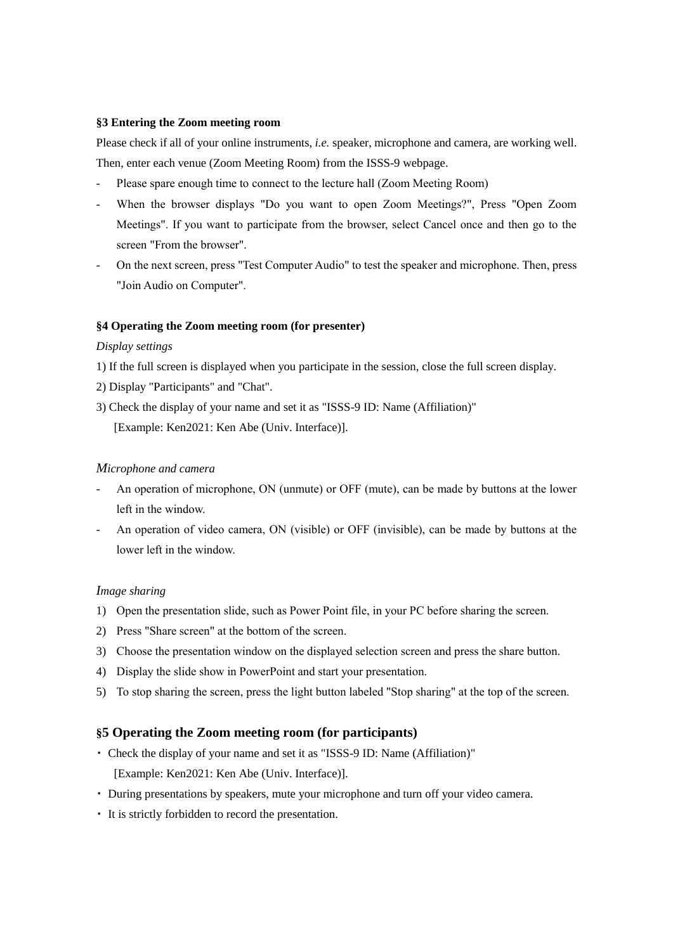## **§3 Entering the Zoom meeting room**

Please check if all of your online instruments, *i.e.* speaker, microphone and camera, are working well. Then, enter each venue (Zoom Meeting Room) from the ISSS-9 webpage.

- Please spare enough time to connect to the lecture hall (Zoom Meeting Room)
- When the browser displays "Do you want to open Zoom Meetings?", Press "Open Zoom Meetings". If you want to participate from the browser, select Cancel once and then go to the screen "From the browser".
- On the next screen, press "Test Computer Audio" to test the speaker and microphone. Then, press "Join Audio on Computer".

# **§4 Operating the Zoom meeting room (for presenter)**

### *Display settings*

- 1) If the full screen is displayed when you participate in the session, close the full screen display.
- 2) Display "Participants" and "Chat".
- 3) Check the display of your name and set it as "ISSS-9 ID: Name (Affiliation)" [Example: Ken2021: Ken Abe (Univ. Interface)].

## *Microphone and camera*

- An operation of microphone, ON (unmute) or OFF (mute), can be made by buttons at the lower left in the window.
- An operation of video camera, ON (visible) or OFF (invisible), can be made by buttons at the lower left in the window.

### *Image sharing*

- 1) Open the presentation slide, such as Power Point file, in your PC before sharing the screen.
- 2) Press "Share screen" at the bottom of the screen.
- 3) Choose the presentation window on the displayed selection screen and press the share button.
- 4) Display the slide show in PowerPoint and start your presentation.
- 5) To stop sharing the screen, press the light button labeled "Stop sharing" at the top of the screen.

# **§5 Operating the Zoom meeting room (for participants)**

- ・ Check the display of your name and set it as "ISSS-9 ID: Name (Affiliation)" [Example: Ken2021: Ken Abe (Univ. Interface)].
- ・ During presentations by speakers, mute your microphone and turn off your video camera.
- ・ It is strictly forbidden to record the presentation.